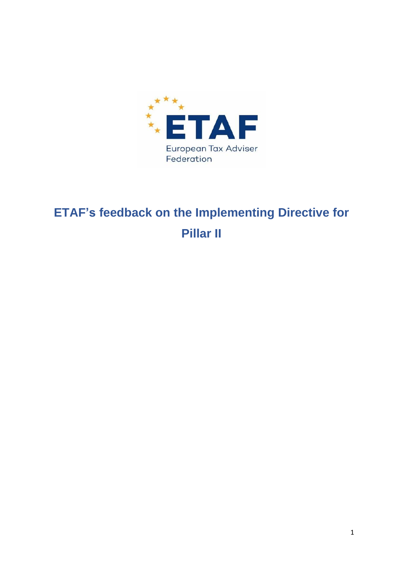

# **ETAF's feedback on the Implementing Directive for Pillar II**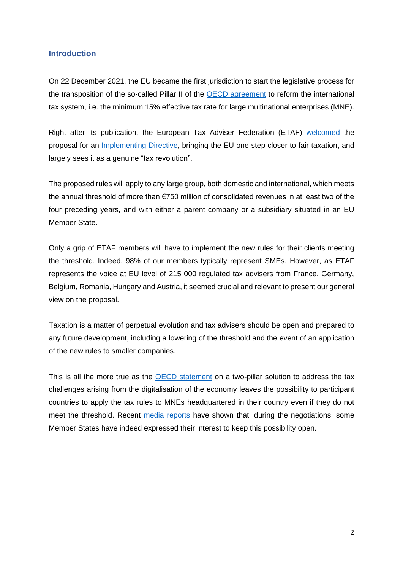#### **Introduction**

On 22 December 2021, the EU became the first jurisdiction to start the legislative process for the transposition of the so-called Pillar II of the [OECD agreement](https://www.oecd.org/tax/beps/statement-on-a-two-pillar-solution-to-address-the-tax-challenges-arising-from-the-digitalisation-of-the-economy-october-2021.pdf) to reform the international tax system, i.e. the minimum 15% effective tax rate for large multinational enterprises (MNE).

Right after its publication, the European Tax Adviser Federation (ETAF) [welcomed](https://www.etaf.tax/index.php/newsarea/259-press-release-etaf-welcomes-commission-s-proposal-for-pillar-ii-but-still-many-challenges-ahead) the proposal for an [Implementing Directive,](https://ec.europa.eu/taxation_customs/system/files/2021-12/COM_2021_823_1_EN_ACT_part1_v11.pdf) bringing the EU one step closer to fair taxation, and largely sees it as a genuine "tax revolution".

The proposed rules will apply to any large group, both domestic and international, which meets the annual threshold of more than €750 million of consolidated revenues in at least two of the four preceding years, and with either a parent company or a subsidiary situated in an EU Member State.

Only a grip of ETAF members will have to implement the new rules for their clients meeting the threshold. Indeed, 98% of our members typically represent SMEs. However, as ETAF represents the voice at EU level of 215 000 regulated tax advisers from France, Germany, Belgium, Romania, Hungary and Austria, it seemed crucial and relevant to present our general view on the proposal.

Taxation is a matter of perpetual evolution and tax advisers should be open and prepared to any future development, including a lowering of the threshold and the event of an application of the new rules to smaller companies.

This is all the more true as the [OECD statement](https://www.oecd.org/tax/beps/statement-on-a-two-pillar-solution-to-address-the-tax-challenges-arising-from-the-digitalisation-of-the-economy-october-2021.pdf) on a two-pillar solution to address the tax challenges arising from the digitalisation of the economy leaves the possibility to participant countries to apply the tax rules to MNEs headquartered in their country even if they do not meet the threshold. Recent [media reports](https://www.taxnotes.com/tax-notes-international/corporate-taxation/eu-talks-consider-extending-pillar-2-smaller-companies/2022/02/28/7d6wq) have shown that, during the negotiations, some Member States have indeed expressed their interest to keep this possibility open.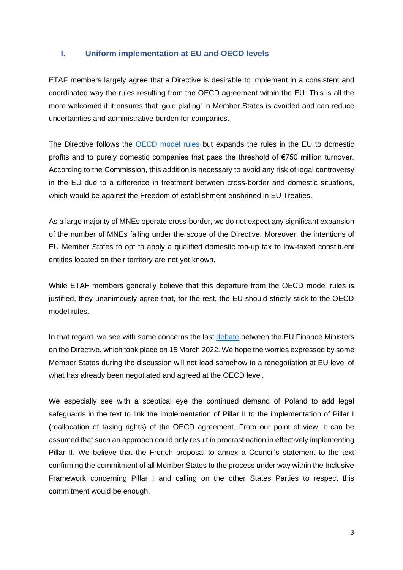### **I. Uniform implementation at EU and OECD levels**

ETAF members largely agree that a Directive is desirable to implement in a consistent and coordinated way the rules resulting from the OECD agreement within the EU. This is all the more welcomed if it ensures that 'gold plating' in Member States is avoided and can reduce uncertainties and administrative burden for companies.

The Directive follows the [OECD model rules](https://www.oecd.org/tax/beps/tax-challenges-arising-from-the-digitalisation-of-the-economy-global-anti-base-erosion-model-rules-pillar-two.pdf) but expands the rules in the EU to domestic profits and to purely domestic companies that pass the threshold of €750 million turnover. According to the Commission, this addition is necessary to avoid any risk of legal controversy in the EU due to a difference in treatment between cross-border and domestic situations, which would be against the Freedom of establishment enshrined in EU Treaties.

As a large majority of MNEs operate cross-border, we do not expect any significant expansion of the number of MNEs falling under the scope of the Directive. Moreover, the intentions of EU Member States to opt to apply a qualified domestic top-up tax to low-taxed constituent entities located on their territory are not yet known.

While ETAF members generally believe that this departure from the OECD model rules is justified, they unanimously agree that, for the rest, the EU should strictly stick to the OECD model rules.

In that regard, we see with some concerns the last [debate](https://video.consilium.europa.eu/event/en/25536) between the EU Finance Ministers on the Directive, which took place on 15 March 2022. We hope the worries expressed by some Member States during the discussion will not lead somehow to a renegotiation at EU level of what has already been negotiated and agreed at the OECD level.

We especially see with a sceptical eye the continued demand of Poland to add legal safeguards in the text to link the implementation of Pillar II to the implementation of Pillar I (reallocation of taxing rights) of the OECD agreement. From our point of view, it can be assumed that such an approach could only result in procrastination in effectively implementing Pillar II. We believe that the French proposal to annex a Council's statement to the text confirming the commitment of all Member States to the process under way within the Inclusive Framework concerning Pillar I and calling on the other States Parties to respect this commitment would be enough.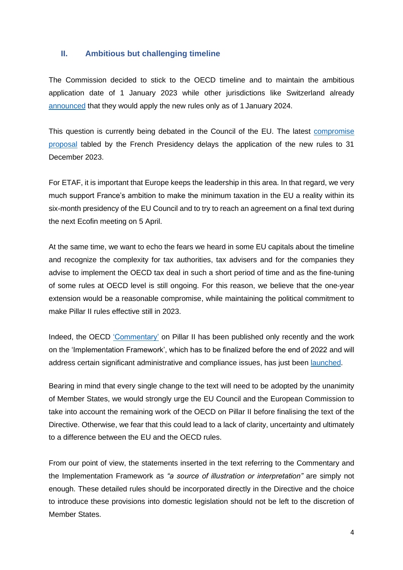### **II. Ambitious but challenging timeline**

The Commission decided to stick to the OECD timeline and to maintain the ambitious application date of 1 January 2023 while other jurisdictions like Switzerland already [announced](https://www.efd.admin.ch/efd/fr/home/le-dff/nsb-news_list.msg-id-86783.html) that they would apply the new rules only as of 1 January 2024.

This question is currently being debated in the Council of the EU. The latest [compromise](https://data.consilium.europa.eu/doc/document/ST-6975-2022-INIT/en/pdf)  [proposal](https://data.consilium.europa.eu/doc/document/ST-6975-2022-INIT/en/pdf) tabled by the French Presidency delays the application of the new rules to 31 December 2023.

For ETAF, it is important that Europe keeps the leadership in this area. In that regard, we very much support France's ambition to make the minimum taxation in the EU a reality within its six-month presidency of the EU Council and to try to reach an agreement on a final text during the next Ecofin meeting on 5 April.

At the same time, we want to echo the fears we heard in some EU capitals about the timeline and recognize the complexity for tax authorities, tax advisers and for the companies they advise to implement the OECD tax deal in such a short period of time and as the fine-tuning of some rules at OECD level is still ongoing. For this reason, we believe that the one-year extension would be a reasonable compromise, while maintaining the political commitment to make Pillar II rules effective still in 2023.

Indeed, the OECD ['Commentary'](https://www.oecd.org/tax/beps/tax-challenges-arising-from-the-digitalisation-of-the-economy-global-anti-base-erosion-model-rules-pillar-two-commentary.pdf) on Pillar II has been published only recently and the work on the 'Implementation Framework', which has to be finalized before the end of 2022 and will address certain significant administrative and compliance issues, has just been [launched.](https://www.oecd.org/tax/beps/oecd-invites-public-input-on-the-implementation-framework-of-the-global-minimum-tax.htm)

Bearing in mind that every single change to the text will need to be adopted by the unanimity of Member States, we would strongly urge the EU Council and the European Commission to take into account the remaining work of the OECD on Pillar II before finalising the text of the Directive. Otherwise, we fear that this could lead to a lack of clarity, uncertainty and ultimately to a difference between the EU and the OECD rules.

From our point of view, the statements inserted in the text referring to the Commentary and the Implementation Framework as *"a source of illustration or interpretation"* are simply not enough. These detailed rules should be incorporated directly in the Directive and the choice to introduce these provisions into domestic legislation should not be left to the discretion of Member States.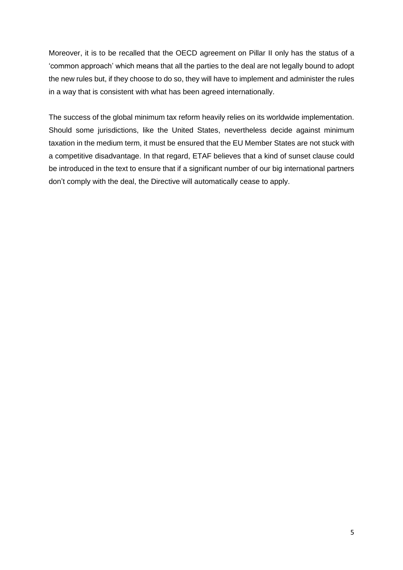Moreover, it is to be recalled that the OECD agreement on Pillar II only has the status of a 'common approach' which means that all the parties to the deal are not legally bound to adopt the new rules but, if they choose to do so, they will have to implement and administer the rules in a way that is consistent with what has been agreed internationally.

The success of the global minimum tax reform heavily relies on its worldwide implementation. Should some jurisdictions, like the United States, nevertheless decide against minimum taxation in the medium term, it must be ensured that the EU Member States are not stuck with a competitive disadvantage. In that regard, ETAF believes that a kind of sunset clause could be introduced in the text to ensure that if a significant number of our big international partners don't comply with the deal, the Directive will automatically cease to apply.